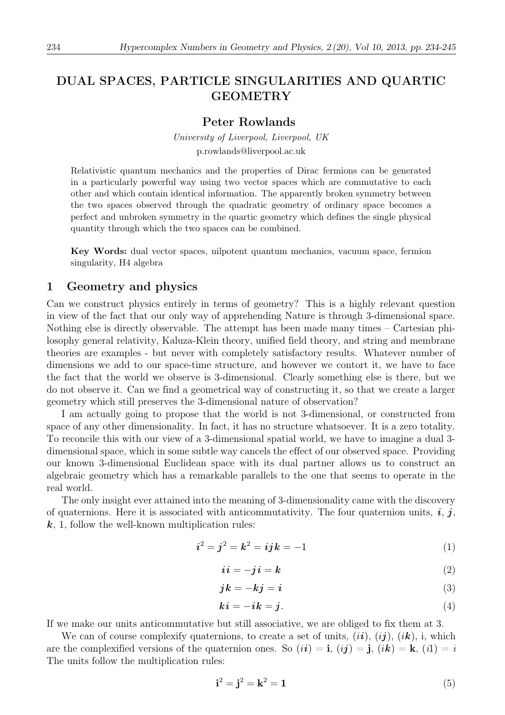# DUAL SPACES, PARTICLE SINGULARITIES AND QUARTIC GEOMETRY

#### Peter Rowlands

University of Liverpool, Liverpool, UK p.rowlands@liverpool.ac.uk

Relativistic quantum mechanics and the properties of Dirac fermions can be generated in a particularly powerful way using two vector spaces which are commutative to each other and which contain identical information. The apparently broken symmetry between the two spaces observed through the quadratic geometry of ordinary space becomes a perfect and unbroken symmetry in the quartic geometry which defines the single physical quantity through which the two spaces can be combined.

Key Words: dual vector spaces, nilpotent quantum mechanics, vacuum space, fermion singularity, H4 algebra

#### 1 Geometry and physics

Can we construct physics entirely in terms of geometry? This is a highly relevant question in view of the fact that our only way of apprehending Nature is through 3-dimensional space. Nothing else is directly observable. The attempt has been made many times – Cartesian philosophy general relativity, Kaluza-Klein theory, unified field theory, and string and membrane theories are examples - but never with completely satisfactory results. Whatever number of dimensions we add to our space-time structure, and however we contort it, we have to face the fact that the world we observe is 3-dimensional. Clearly something else is there, but we do not observe it. Can we find a geometrical way of constructing it, so that we create a larger geometry which still preserves the 3-dimensional nature of observation?

I am actually going to propose that the world is not 3-dimensional, or constructed from space of any other dimensionality. In fact, it has no structure whatsoever. It is a zero totality. To reconcile this with our view of a 3-dimensional spatial world, we have to imagine a dual 3 dimensional space, which in some subtle way cancels the effect of our observed space. Providing our known 3-dimensional Euclidean space with its dual partner allows us to construct an algebraic geometry which has a remarkable parallels to the one that seems to operate in the real world.

The only insight ever attained into the meaning of 3-dimensionality came with the discovery of quaternions. Here it is associated with anticommutativity. The four quaternion units,  $i, j$ ,  $k, 1$ , follow the well-known multiplication rules:

$$
i^2 = j^2 = k^2 = ijk = -1 \tag{1}
$$

$$
ii = -ji = k \tag{2}
$$

$$
jk = -kj = i \tag{3}
$$

$$
ki = -ik = j.
$$
 (4)

If we make our units anticommutative but still associative, we are obliged to fix them at 3.

We can of course complexify quaternions, to create a set of units,  $(ii)$ ,  $(ii)$ ,  $(i, k)$ , i, which are the complexified versions of the quaternion ones. So  $(ii) = \mathbf{i}$ ,  $(i\mathbf{j}) = \mathbf{j}$ ,  $(i\mathbf{k}) = \mathbf{k}$ ,  $(i\mathbf{l}) = i$ The units follow the multiplication rules:

$$
\mathbf{i}^2 = \mathbf{j}^2 = \mathbf{k}^2 = \mathbf{1} \tag{5}
$$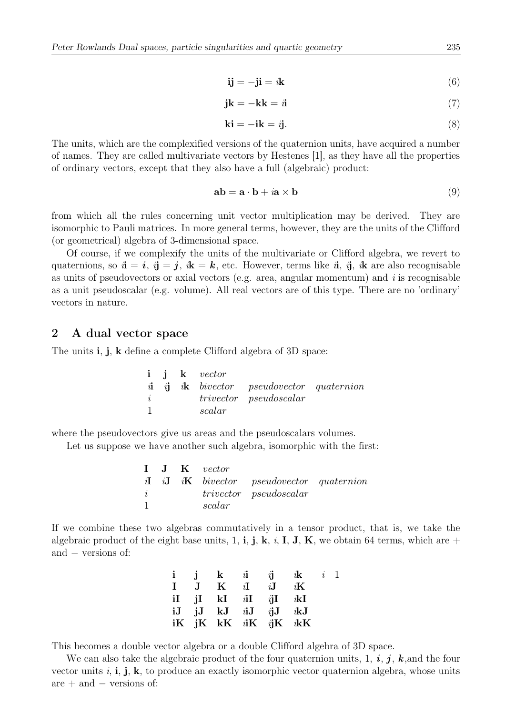$$
\mathbf{i}\mathbf{j} = -\mathbf{j}\mathbf{i} = i\mathbf{k} \tag{6}
$$

$$
\mathbf{j}\mathbf{k} = -\mathbf{k}\mathbf{k} = i\mathbf{i} \tag{7}
$$

$$
\mathbf{k} \mathbf{i} = -\mathbf{i} \mathbf{k} = i \mathbf{j}.\tag{8}
$$

The units, which are the complexified versions of the quaternion units, have acquired a number of names. They are called multivariate vectors by Hestenes [1], as they have all the properties of ordinary vectors, except that they also have a full (algebraic) product:

$$
ab = a \cdot b + ia \times b \tag{9}
$$

from which all the rules concerning unit vector multiplication may be derived. They are isomorphic to Pauli matrices. In more general terms, however, they are the units of the Clifford (or geometrical) algebra of 3-dimensional space.

Of course, if we complexify the units of the multivariate or Clifford algebra, we revert to quaternions, so  $\mathbf{\vec{u}} = \mathbf{\vec{i}}, \mathbf{\vec{i}} = \mathbf{\vec{j}}, \mathbf{\vec{k}} = \mathbf{k}$ , etc. However, terms like  $\mathbf{\vec{i}}, \mathbf{\vec{i}}, \mathbf{\vec{k}}$  are also recognisable as units of pseudovectors or axial vectors (e.g. area, angular momentum) and i is recognisable as a unit pseudoscalar (e.g. volume). All real vectors are of this type. There are no 'ordinary' vectors in nature.

#### 2 A dual vector space

The units **i**, **j**, **k** define a complete Clifford algebra of 3D space:

|  | $i$ j k vector |                                                                                              |  |
|--|----------------|----------------------------------------------------------------------------------------------|--|
|  |                | $\ddot{\mathbf{i}}$ $\ddot{\mathbf{i}}$ $\ddot{\mathbf{k}}$ bivector pseudovector quaternion |  |
|  |                | <i>trivector pseudoscalar</i>                                                                |  |
|  | scalar         |                                                                                              |  |

where the pseudovectors give us areas and the pseudoscalars volumes.

Let us suppose we have another such algebra, isomorphic with the first:

|                         |  | $I$ J K vector |                                                                                                   |  |
|-------------------------|--|----------------|---------------------------------------------------------------------------------------------------|--|
|                         |  |                | $\mathbf{I}$ $\mathbf{I}$ $\mathbf{I}$ $\mathbf{I}$ $\mathbf{K}$ bivector pseudovector quaternion |  |
| $\overline{\mathbf{z}}$ |  |                | <i>trivector pseudoscalar</i>                                                                     |  |
|                         |  | scalar         |                                                                                                   |  |

If we combine these two algebras commutatively in a tensor product, that is, we take the algebraic product of the eight base units, 1, i, j, k, i, I, J, K, we obtain 64 terms, which are  $+$ and − versions of:

|  |                               |  | i j k $ii$ $ij$ $ik$ $i$ 1 |  |
|--|-------------------------------|--|----------------------------|--|
|  | $I$ J K $iI$ $iJ$ $iK$        |  |                            |  |
|  | iI jI kI $i$ iI $i$ jI $i$ kI |  |                            |  |
|  | iJ jJ kJ $i$ jJ $i$ jJ $i$ kJ |  |                            |  |
|  | iK jK kK $i$ iK $i$ jK $i$ kK |  |                            |  |

This becomes a double vector algebra or a double Clifford algebra of 3D space.

We can also take the algebraic product of the four quaternion units, 1,  $\boldsymbol{i}$ ,  $\boldsymbol{j}$ ,  $\boldsymbol{k}$ , and the four vector units  $i$ , **i**, **j**, **k**, to produce an exactly isomorphic vector quaternion algebra, whose units  $are + and - versions of:$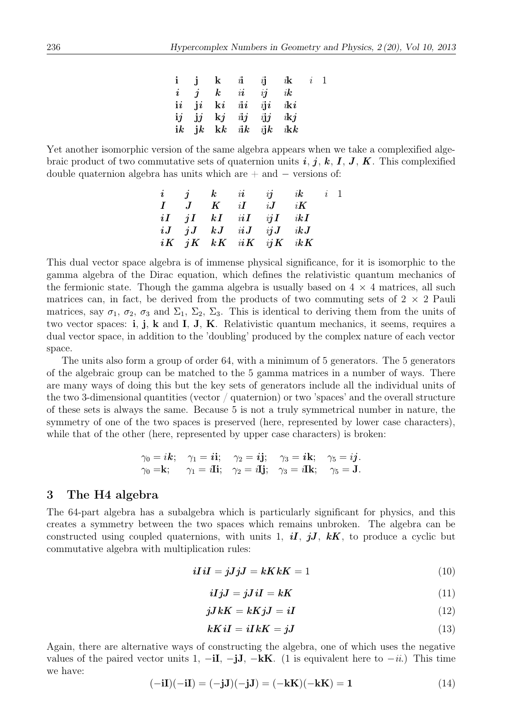|  |  |                                                | i j k $ii$ $ij$ $ik$ $i$ 1 |  |
|--|--|------------------------------------------------|----------------------------|--|
|  |  | $i \quad j \quad k \quad ii \quad ij \quad ik$ |                            |  |
|  |  | ii ji ki üi iji iki                            |                            |  |
|  |  | ij ji ki $ij$ ij ij $ikj$                      |                            |  |
|  |  | ik jk kk ik ijk ikk                            |                            |  |

Yet another isomorphic version of the same algebra appears when we take a complexified algebraic product of two commutative sets of quaternion units  $i, j, k, I, J, K$ . This complexified double quaternion algebra has units which are  $+$  and  $-$  versions of:

$$
\begin{array}{ccccccccc}\ni & j & k & ii & ij & ik & i & 1\\ I & J & K & iI & iJ & iK & \\ iI & jI & kI & iiI & ijI & ikI & \\ iJ & jJ & kJ & iiJ & ijJ & ikJ & \\ iK & jK & kK & iiK & ijK & ikK & \end{array}
$$

This dual vector space algebra is of immense physical significance, for it is isomorphic to the gamma algebra of the Dirac equation, which defines the relativistic quantum mechanics of the fermionic state. Though the gamma algebra is usually based on  $4 \times 4$  matrices, all such matrices can, in fact, be derived from the products of two commuting sets of  $2 \times 2$  Pauli matrices, say  $\sigma_1$ ,  $\sigma_2$ ,  $\sigma_3$  and  $\Sigma_1$ ,  $\Sigma_2$ ,  $\Sigma_3$ . This is identical to deriving them from the units of two vector spaces: i, j, k and I, J, K. Relativistic quantum mechanics, it seems, requires a dual vector space, in addition to the 'doubling' produced by the complex nature of each vector space.

The units also form a group of order 64, with a minimum of 5 generators. The 5 generators of the algebraic group can be matched to the 5 gamma matrices in a number of ways. There are many ways of doing this but the key sets of generators include all the individual units of the two 3-dimensional quantities (vector / quaternion) or two 'spaces' and the overall structure of these sets is always the same. Because 5 is not a truly symmetrical number in nature, the symmetry of one of the two spaces is preserved (here, represented by lower case characters), while that of the other (here, represented by upper case characters) is broken:

$$
\begin{array}{ccc} \gamma_0 = i\bm{k}; & \gamma_1 = i\mathbf{i}; & \gamma_2 = i\mathbf{j}; & \gamma_3 = i\mathbf{k}; & \gamma_5 = ij. \\ \gamma_0 = \mathbf{k}; & \gamma_1 = i\mathbf{I} \mathbf{i}; & \gamma_2 = i\mathbf{I} \mathbf{j}; & \gamma_3 = i\mathbf{I} \mathbf{k}; & \gamma_5 = \mathbf{J}. \end{array}
$$

### 3 The H4 algebra

The 64-part algebra has a subalgebra which is particularly significant for physics, and this creates a symmetry between the two spaces which remains unbroken. The algebra can be constructed using coupled quaternions, with units 1,  $i\mathbf{I}$ ,  $j\mathbf{J}$ ,  $k\mathbf{K}$ , to produce a cyclic but commutative algebra with multiplication rules:

$$
iI iI = jJjJ = kKkK = 1
$$
\n<sup>(10)</sup>

$$
iIjJ = jJiI = kK\tag{11}
$$

$$
jJkK = kKjJ = iI \tag{12}
$$

$$
kKiI = iIkK = jJ \tag{13}
$$

Again, there are alternative ways of constructing the algebra, one of which uses the negative values of the paired vector units 1,  $-iI$ ,  $-jJ$ ,  $-kK$ . (1 is equivalent here to  $-ii$ .) This time we have:

$$
(-iI)(-iI) = (-jJ)(-jJ) = (-kK)(-kK) = 1
$$
\n(14)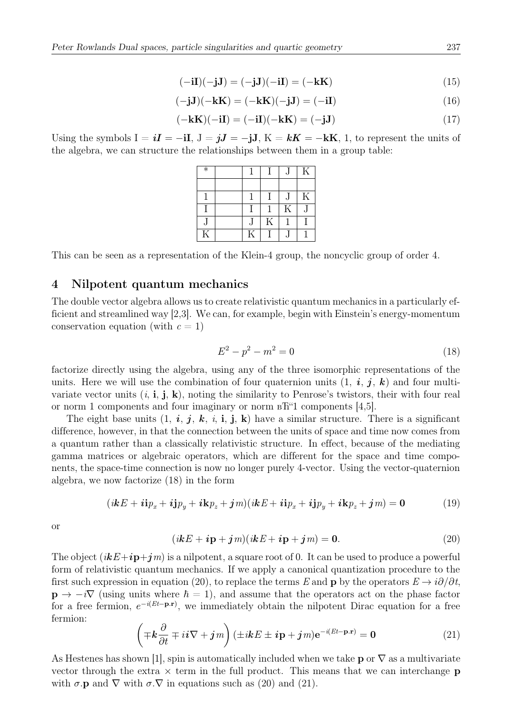$$
(-iI)(-jJ) = (-jJ)(-iI) = (-kK)
$$
\n(15)

$$
(-\mathbf{j}J)(-\mathbf{k}K) = (-\mathbf{k}K)(-\mathbf{j}J) = (-\mathbf{i}I)
$$
\n(16)

$$
(-kK)(-iI) = (-iI)(-kK) = (-jJ)
$$
\n(17)

Using the symbols  $I = iI = -iI$ ,  $J = jJ = -jJ$ ,  $K = kK = -kK$ , 1, to represent the units of the algebra, we can structure the relationships between them in a group table:

| $\ast$                  |         |         |                         | $\rm K$          |
|-------------------------|---------|---------|-------------------------|------------------|
|                         |         |         |                         |                  |
|                         |         |         | J                       | $\boldsymbol{K}$ |
|                         |         |         | $\overline{\mathrm{K}}$ | J                |
| J                       | J       | $\rm K$ |                         |                  |
| $\overline{\mathrm{K}}$ | $\rm K$ |         |                         |                  |

This can be seen as a representation of the Klein-4 group, the noncyclic group of order 4.

## 4 Nilpotent quantum mechanics

The double vector algebra allows us to create relativistic quantum mechanics in a particularly efficient and streamlined way [2,3]. We can, for example, begin with Einstein's energy-momentum conservation equation (with  $c = 1$ )

$$
E^2 - p^2 - m^2 = 0 \tag{18}
$$

factorize directly using the algebra, using any of the three isomorphic representations of the units. Here we will use the combination of four quaternion units  $(1, i, j, k)$  and four multivariate vector units  $(i, i, j, k)$ , noting the similarity to Penrose's twistors, their with four real or norm 1 components and four imaginary or norm вЋ"1 components [4,5].

The eight base units  $(1, i, j, k, i, j, k)$  have a similar structure. There is a significant difference, however, in that the connection between the units of space and time now comes from a quantum rather than a classically relativistic structure. In effect, because of the mediating gamma matrices or algebraic operators, which are different for the space and time components, the space-time connection is now no longer purely 4-vector. Using the vector-quaternion algebra, we now factorize (18) in the form

$$
(ikE + i\mathbf{i}p_x + i\mathbf{j}p_y + i\mathbf{k}p_z + jm)(ikE + i\mathbf{i}p_x + i\mathbf{j}p_y + i\mathbf{k}p_z + jm) = \mathbf{0}
$$
 (19)

or

$$
(ikE + i\mathbf{p} + jm)(ikE + i\mathbf{p} + jm) = 0.
$$
\n(20)

The object  $(ikE+i\mathbf{p}+j\mathbf{m})$  is a nilpotent, a square root of 0. It can be used to produce a powerful form of relativistic quantum mechanics. If we apply a canonical quantization procedure to the first such expression in equation (20), to replace the terms E and **p** by the operators  $E \to i\partial/\partial t$ ,  $\mathbf{p} \to -i\nabla$  (using units where  $\hbar = 1$ ), and assume that the operators act on the phase factor for a free fermion,  $e^{-i(Et-\mathbf{p} \cdot \mathbf{r})}$ , we immediately obtain the nilpotent Dirac equation for a free fermion:

$$
\left(\mp k\frac{\partial}{\partial t}\mp i\,i\nabla+j\,m\right)\left(\pm ik\,E\pm i\,\mathbf{p}+j\,m\right)\mathbf{e}^{-i(Et-\mathbf{p}.\mathbf{r})}=\mathbf{0}\tag{21}
$$

As Hestenes has shown [1], spin is automatically included when we take **p** or  $\nabla$  as a multivariate vector through the extra  $\times$  term in the full product. This means that we can interchange **p** with  $\sigma$ . p and  $\nabla$  with  $\sigma$ .  $\nabla$  in equations such as (20) and (21).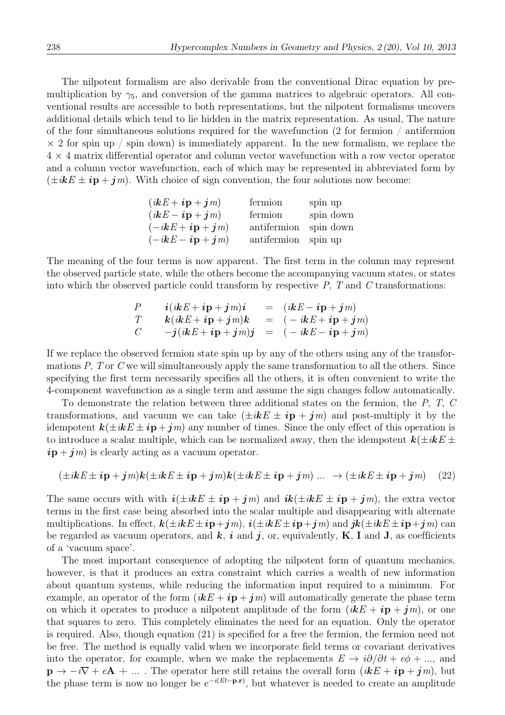The nilpotent formalism are also derivable from the conventional Dirac equation by premultiplication by  $\gamma_5$ , and conversion of the gamma matrices to algebraic operators. All conventional results are accessible to both representations, but the nilpotent formalisms uncovers additional details which tend to lie hidden in the matrix representation. As usual, The nature of the four simultaneous solutions required for the wavefunction (2 for fermion / antifermion  $\times$  2 for spin up / spin down) is immediately apparent. In the new formalism, we replace the  $4 \times 4$  matrix differential operator and column vector wavefunction with a row vector operator and a column vector wavefunction, each of which may be represented in abbreviated form by  $(\pm i\mathbf{k}E \pm i\mathbf{p} + j\mathbf{m})$ . With choice of sign convention, the four solutions now become:

| fermion               | spin up   |
|-----------------------|-----------|
| fermion               | spin down |
| antifermion spin down |           |
| antifermion spin up   |           |
|                       |           |

The meaning of the four terms is now apparent. The first term in the column may represent the observed particle state, while the others become the accompanying vacuum states, or states into which the observed particle could transform by respective  $P$ ,  $T$  and  $C$  transformations:

P 
$$
i(ikE + i\mathbf{p} + jm)i
$$
 =  $(ikE - i\mathbf{p} + jm)$   
\nT  $k(ikE + i\mathbf{p} + jm)k$  =  $(-ikE + i\mathbf{p} + jm)$   
\nC  $-j(ikE + i\mathbf{p} + jm)j$  =  $(-ikE - i\mathbf{p} + jm)$ 

If we replace the observed fermion state spin up by any of the others using any of the transformations  $P$ ,  $T$  or  $C$  we will simultaneously apply the same transformation to all the others. Since specifying the first term necessarily specifies all the others, it is often convenient to write the 4-component wavefunction as a single term and assume the sign changes follow automatically.

To demonstrate the relation between three additional states on the fermion, the P, T, C transformations, and vacuum we can take  $(\pm i\mathbf{k}E \pm i\mathbf{p} + j\mathbf{m})$  and post-multiply it by the idempotent  $k(\pm ikE \pm i\mathbf{p} + j\mathbf{m})$  any number of times. Since the only effect of this operation is to introduce a scalar multiple, which can be normalized away, then the idempotent  $k(\pm ikE \pm$  $i\mathbf{p} + j\mathbf{m}$  is clearly acting as a vacuum operator.

$$
(\pm ikE \pm ip + jm)k(\pm ikE \pm ip + jm)k(\pm ikE \pm ip + jm) \dots \rightarrow (\pm ikE \pm ip + jm) \quad (22)
$$

The same occurs with with  $i(\pm ikE \pm i\mathbf{p} + j\mathbf{m})$  and  $ik(\pm ikE \pm i\mathbf{p} + j\mathbf{m})$ , the extra vector terms in the first case being absorbed into the scalar multiple and disappearing with alternate multiplications. In effect,  $k(\pm ikE \pm i\mathbf{p}+j\mathbf{m})$ ,  $i(\pm ikE \pm i\mathbf{p}+j\mathbf{m})$  and  $jk(\pm ikE \pm i\mathbf{p}+j\mathbf{m})$  can be regarded as vacuum operators, and  $k$ , i and j, or, equivalently, K, I and J, as coefficients of a 'vacuum space'.

The most important consequence of adopting the nilpotent form of quantum mechanics, however, is that it produces an extra constraint which carries a wealth of new information about quantum systems, while reducing the information input required to a minimum. For example, an operator of the form  $(ikE + i\mathbf{p} + j\mathbf{m})$  will automatically generate the phase term on which it operates to produce a nilpotent amplitude of the form  $(ikE + i\mathbf{p} + j\mathbf{m})$ , or one that squares to zero. This completely eliminates the need for an equation. Only the operator is required. Also, though equation (21) is specified for a free the fermion, the fermion need not be free. The method is equally valid when we incorporate field terms or covariant derivatives into the operator, for example, when we make the replacements  $E \to i\partial/\partial t + e\phi + ...$ , and  $\mathbf{p} \to -i\nabla + e\mathbf{A} + \dots$ . The operator here still retains the overall form  $(ikE + i\mathbf{p} + j\mathbf{m})$ , but the phase term is now no longer be  $e^{-i(Et-\mathbf{p} \cdot \mathbf{r})}$ , but whatever is needed to create an amplitude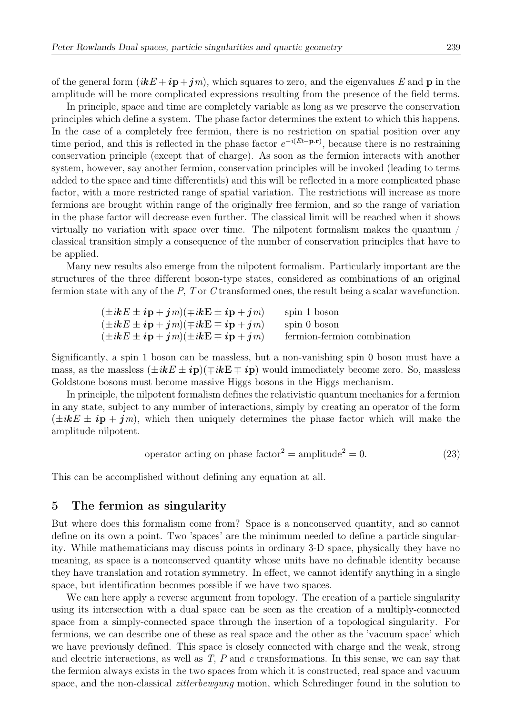of the general form  $(ikE + i\mathbf{p} + j\mathbf{m})$ , which squares to zero, and the eigenvalues E and **p** in the amplitude will be more complicated expressions resulting from the presence of the field terms.

In principle, space and time are completely variable as long as we preserve the conservation principles which define a system. The phase factor determines the extent to which this happens. In the case of a completely free fermion, there is no restriction on spatial position over any time period, and this is reflected in the phase factor  $e^{-i(Et-\mathbf{p} \cdot \mathbf{r})}$ , because there is no restraining conservation principle (except that of charge). As soon as the fermion interacts with another system, however, say another fermion, conservation principles will be invoked (leading to terms added to the space and time differentials) and this will be reflected in a more complicated phase factor, with a more restricted range of spatial variation. The restrictions will increase as more fermions are brought within range of the originally free fermion, and so the range of variation in the phase factor will decrease even further. The classical limit will be reached when it shows virtually no variation with space over time. The nilpotent formalism makes the quantum / classical transition simply a consequence of the number of conservation principles that have to be applied.

Many new results also emerge from the nilpotent formalism. Particularly important are the structures of the three different boson-type states, considered as combinations of an original fermion state with any of the  $P$ ,  $T$  or  $C$  transformed ones, the result being a scalar wavefunction.

| $(\pm i\mathbf{k} E \pm i\mathbf{p} + j\mathbf{m}) (\mp i\mathbf{k} E \pm i\mathbf{p} + j\mathbf{m})$          | spin 1 boson                |
|----------------------------------------------------------------------------------------------------------------|-----------------------------|
| $(\pm i\mathbf{k} E \pm i\mathbf{p} + j\mathbf{m}) (\mp i\mathbf{k} \mathbf{E} \mp i\mathbf{p} + j\mathbf{m})$ | spin 0 boson                |
| $(\pm i\mathbf{k} E \pm i\mathbf{p} + j\mathbf{m})(\pm i\mathbf{k} \mathbf{E} \mp i\mathbf{p} + j\mathbf{m})$  | fermion-fermion combination |

Significantly, a spin 1 boson can be massless, but a non-vanishing spin 0 boson must have a mass, as the massless  $(\pm i\mathbf{k}E \pm i\mathbf{p})(\mp i\mathbf{k}E \mp i\mathbf{p})$  would immediately become zero. So, massless Goldstone bosons must become massive Higgs bosons in the Higgs mechanism.

In principle, the nilpotent formalism defines the relativistic quantum mechanics for a fermion in any state, subject to any number of interactions, simply by creating an operator of the form  $(\pm i\mathbf{k}E \pm i\mathbf{p} + j\mathbf{m})$ , which then uniquely determines the phase factor which will make the amplitude nilpotent.

operator acting on phase factor<sup>2</sup> = amplitude<sup>2</sup> = 0. (23)

This can be accomplished without defining any equation at all.

#### 5 The fermion as singularity

But where does this formalism come from? Space is a nonconserved quantity, and so cannot define on its own a point. Two 'spaces' are the minimum needed to define a particle singularity. While mathematicians may discuss points in ordinary 3-D space, physically they have no meaning, as space is a nonconserved quantity whose units have no definable identity because they have translation and rotation symmetry. In effect, we cannot identify anything in a single space, but identification becomes possible if we have two spaces.

We can here apply a reverse argument from topology. The creation of a particle singularity using its intersection with a dual space can be seen as the creation of a multiply-connected space from a simply-connected space through the insertion of a topological singularity. For fermions, we can describe one of these as real space and the other as the 'vacuum space' which we have previously defined. This space is closely connected with charge and the weak, strong and electric interactions, as well as T, P and c transformations. In this sense, we can say that the fermion always exists in the two spaces from which it is constructed, real space and vacuum space, and the non-classical *zitterbewgung* motion, which Schredinger found in the solution to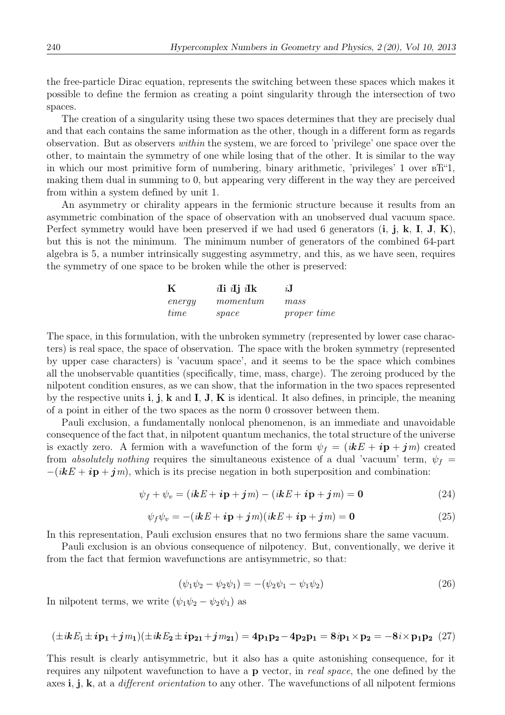the free-particle Dirac equation, represents the switching between these spaces which makes it possible to define the fermion as creating a point singularity through the intersection of two spaces.

The creation of a singularity using these two spaces determines that they are precisely dual and that each contains the same information as the other, though in a different form as regards observation. But as observers within the system, we are forced to 'privilege' one space over the other, to maintain the symmetry of one while losing that of the other. It is similar to the way in which our most primitive form of numbering, binary arithmetic, 'privileges' 1 over вЋ"1, making them dual in summing to 0, but appearing very different in the way they are perceived from within a system defined by unit 1.

An asymmetry or chirality appears in the fermionic structure because it results from an asymmetric combination of the space of observation with an unobserved dual vacuum space. Perfect symmetry would have been preserved if we had used 6 generators  $(i, j, k, I, J, K)$ , but this is not the minimum. The minimum number of generators of the combined 64-part algebra is 5, a number intrinsically suggesting asymmetry, and this, as we have seen, requires the symmetry of one space to be broken while the other is preserved:

| K           | $i$ Ii $i$ Ij $i$ Ik | $i\mathbf{J}$ |
|-------------|----------------------|---------------|
| energy      | momentum             | mass          |
| <i>time</i> | space                | proper time   |

The space, in this formulation, with the unbroken symmetry (represented by lower case characters) is real space, the space of observation. The space with the broken symmetry (represented by upper case characters) is 'vacuum space', and it seems to be the space which combines all the unobservable quantities (specifically, time, mass, charge). The zeroing produced by the nilpotent condition ensures, as we can show, that the information in the two spaces represented by the respective units i, j,  $k$  and I, J,  $K$  is identical. It also defines, in principle, the meaning of a point in either of the two spaces as the norm 0 crossover between them.

Pauli exclusion, a fundamentally nonlocal phenomenon, is an immediate and unavoidable consequence of the fact that, in nilpotent quantum mechanics, the total structure of the universe is exactly zero. A fermion with a wavefunction of the form  $\psi_f = (i\mathbf{k}E + i\mathbf{p} + j\mathbf{m})$  created from absolutely nothing requires the simultaneous existence of a dual 'vacuum' term,  $\psi_f$  =  $-(i\mathbf{k}E + i\mathbf{p} + j\mathbf{m})$ , which is its precise negation in both superposition and combination:

$$
\psi_f + \psi_v = (i\mathbf{k}E + i\mathbf{p} + j\mathbf{m}) - (i\mathbf{k}E + i\mathbf{p} + j\mathbf{m}) = \mathbf{0}
$$
\n(24)

$$
\psi_f \psi_v = -(ikE + i\mathbf{p} + jm)(ikE + i\mathbf{p} + jm) = \mathbf{0}
$$
\n(25)

In this representation, Pauli exclusion ensures that no two fermions share the same vacuum.

Pauli exclusion is an obvious consequence of nilpotency. But, conventionally, we derive it from the fact that fermion wavefunctions are antisymmetric, so that:

$$
(\psi_1 \psi_2 - \psi_2 \psi_1) = -(\psi_2 \psi_1 - \psi_1 \psi_2)
$$
\n(26)

In nilpotent terms, we write  $(\psi_1 \psi_2 - \psi_2 \psi_1)$  as

$$
(\pm ik E_1 \pm ip_1 + jm_1)(\pm ik E_2 \pm ip_{21} + jm_{21}) = 4p_1p_2 - 4p_2p_1 = 8ip_1 \times p_2 = -8i \times p_1p_2
$$
 (27)

This result is clearly antisymmetric, but it also has a quite astonishing consequence, for it requires any nilpotent wavefunction to have a p vector, in real space, the one defined by the axes i, j, k, at a different orientation to any other. The wavefunctions of all nilpotent fermions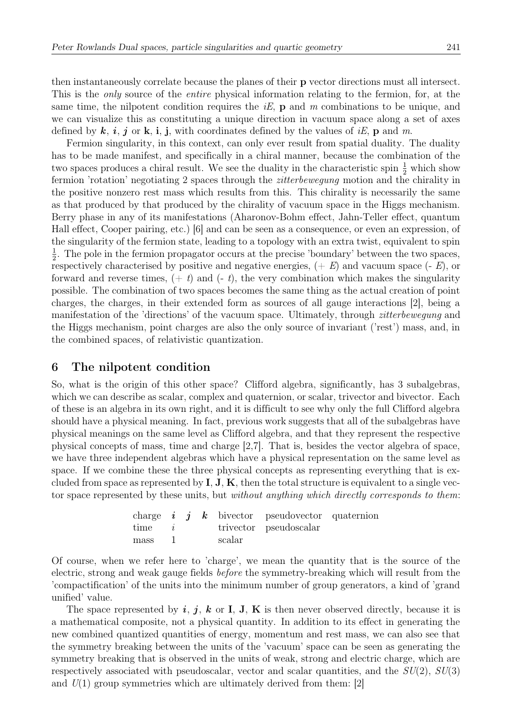then instantaneously correlate because the planes of their p vector directions must all intersect. This is the only source of the entire physical information relating to the fermion, for, at the same time, the nilpotent condition requires the  $iE$ , **p** and m combinations to be unique, and we can visualize this as constituting a unique direction in vacuum space along a set of axes defined by  $k$ ,  $i$ ,  $j$  or  $k$ , i, j, with coordinates defined by the values of iE, p and m.

Fermion singularity, in this context, can only ever result from spatial duality. The duality has to be made manifest, and specifically in a chiral manner, because the combination of the two spaces produces a chiral result. We see the duality in the characteristic spin  $\frac{1}{2}$  which show fermion 'rotation' negotiating 2 spaces through the zitterbewegung motion and the chirality in the positive nonzero rest mass which results from this. This chirality is necessarily the same as that produced by that produced by the chirality of vacuum space in the Higgs mechanism. Berry phase in any of its manifestations (Aharonov-Bohm effect, Jahn-Teller effect, quantum Hall effect, Cooper pairing, etc.) [6] and can be seen as a consequence, or even an expression, of the singularity of the fermion state, leading to a topology with an extra twist, equivalent to spin  $\frac{1}{2}$ . The pole in the fermion propagator occurs at the precise 'boundary' between the two spaces, respectively characterised by positive and negative energies,  $(+ E)$  and vacuum space  $(- E)$ , or forward and reverse times,  $(+ t)$  and  $(- t)$ , the very combination which makes the singularity possible. The combination of two spaces becomes the same thing as the actual creation of point charges, the charges, in their extended form as sources of all gauge interactions [2], being a manifestation of the 'directions' of the vacuum space. Ultimately, through zitterbewegung and the Higgs mechanism, point charges are also the only source of invariant ('rest') mass, and, in the combined spaces, of relativistic quantization.

## 6 The nilpotent condition

So, what is the origin of this other space? Clifford algebra, significantly, has 3 subalgebras, which we can describe as scalar, complex and quaternion, or scalar, trivector and bivector. Each of these is an algebra in its own right, and it is difficult to see why only the full Clifford algebra should have a physical meaning. In fact, previous work suggests that all of the subalgebras have physical meanings on the same level as Clifford algebra, and that they represent the respective physical concepts of mass, time and charge [2,7]. That is, besides the vector algebra of space, we have three independent algebras which have a physical representation on the same level as space. If we combine these the three physical concepts as representing everything that is excluded from space as represented by  $I, J, K$ , then the total structure is equivalent to a single vector space represented by these units, but *without anything which directly corresponds to them:* 

|        |  |        | charge $i \, j \, k$ bivector pseudovector quaternion |  |
|--------|--|--------|-------------------------------------------------------|--|
|        |  |        | $time$ <i>i</i> trivector pseudoscalar                |  |
| mass 1 |  | scalar |                                                       |  |

Of course, when we refer here to 'charge', we mean the quantity that is the source of the electric, strong and weak gauge fields before the symmetry-breaking which will result from the 'compactification' of the units into the minimum number of group generators, a kind of 'grand unified' value.

The space represented by  $i, j, k$  or **I**, **J**, **K** is then never observed directly, because it is a mathematical composite, not a physical quantity. In addition to its effect in generating the new combined quantized quantities of energy, momentum and rest mass, we can also see that the symmetry breaking between the units of the 'vacuum' space can be seen as generating the symmetry breaking that is observed in the units of weak, strong and electric charge, which are respectively associated with pseudoscalar, vector and scalar quantities, and the  $SU(2)$ ,  $SU(3)$ and  $U(1)$  group symmetries which are ultimately derived from them: [2]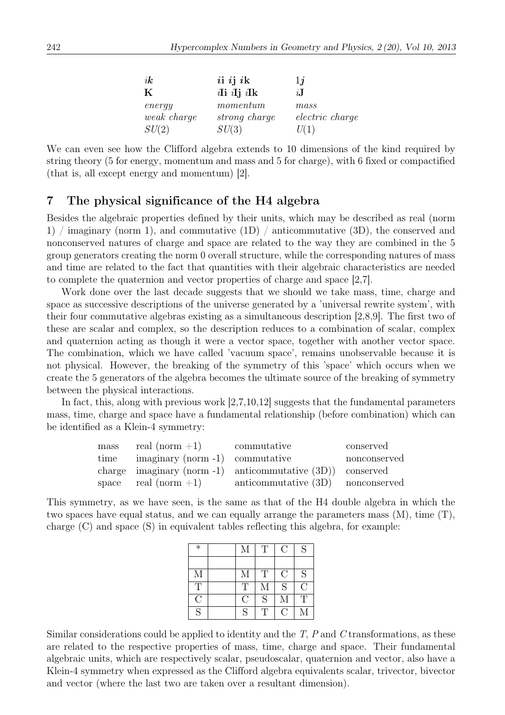| $i\boldsymbol{k}$ | $ii$ ij ik           | 1i                     |
|-------------------|----------------------|------------------------|
| K                 | $i$ Ii $i$ Ij $i$ Ik | iJ                     |
| energy            | momentum             | mass                   |
| weak charge       | strong charge        | <i>electric charge</i> |
| SU(2)             | SU(3)                | $U\! (1)$              |

We can even see how the Clifford algebra extends to 10 dimensions of the kind required by string theory (5 for energy, momentum and mass and 5 for charge), with 6 fixed or compactified (that is, all except energy and momentum) [2].

### 7 The physical significance of the H4 algebra

Besides the algebraic properties defined by their units, which may be described as real (norm 1) / imaginary (norm 1), and commutative (1D) / anticommutative (3D), the conserved and nonconserved natures of charge and space are related to the way they are combined in the 5 group generators creating the norm 0 overall structure, while the corresponding natures of mass and time are related to the fact that quantities with their algebraic characteristics are needed to complete the quaternion and vector properties of charge and space [2,7].

Work done over the last decade suggests that we should we take mass, time, charge and space as successive descriptions of the universe generated by a 'universal rewrite system', with their four commutative algebras existing as a simultaneous description [2,8,9]. The first two of these are scalar and complex, so the description reduces to a combination of scalar, complex and quaternion acting as though it were a vector space, together with another vector space. The combination, which we have called 'vacuum space', remains unobservable because it is not physical. However, the breaking of the symmetry of this 'space' which occurs when we create the 5 generators of the algebra becomes the ultimate source of the breaking of symmetry between the physical interactions.

In fact, this, along with previous work [2,7,10,12] suggests that the fundamental parameters mass, time, charge and space have a fundamental relationship (before combination) which can be identified as a Klein-4 symmetry:

|      | $mass \text{ real (norm } +1)$  | commutative                                                 | conserved    |
|------|---------------------------------|-------------------------------------------------------------|--------------|
| time | imaginary (norm -1) commutative |                                                             | nonconserved |
|      |                                 | charge imaginary (norm -1) anticommutative $(3D)$ conserved |              |
|      | space real (norm $+1$ )         | anticommutative (3D) nonconserved                           |              |

This symmetry, as we have seen, is the same as that of the H4 double algebra in which the two spaces have equal status, and we can equally arrange the parameters mass (M), time (T), charge (C) and space (S) in equivalent tables reflecting this algebra, for example:

| $\ast$         | М              | T           | $\rm C$        | S              |
|----------------|----------------|-------------|----------------|----------------|
|                |                |             |                |                |
| M              | М              | $\mathbf T$ | $\mathcal{C}$  | S              |
| $\overline{T}$ | $\overline{T}$ | M           | $\overline{S}$ | $\overline{C}$ |
| $\overline{C}$ | $\mathcal{C}$  | S           | $\mathbf M$    | $\mathbf T$    |
| $\overline{S}$ | $\overline{S}$ | $\mathbf T$ | $\rm C$        | M              |

Similar considerations could be applied to identity and the  $T$ ,  $P$  and  $C$  transformations, as these are related to the respective properties of mass, time, charge and space. Their fundamental algebraic units, which are respectively scalar, pseudoscalar, quaternion and vector, also have a Klein-4 symmetry when expressed as the Clifford algebra equivalents scalar, trivector, bivector and vector (where the last two are taken over a resultant dimension).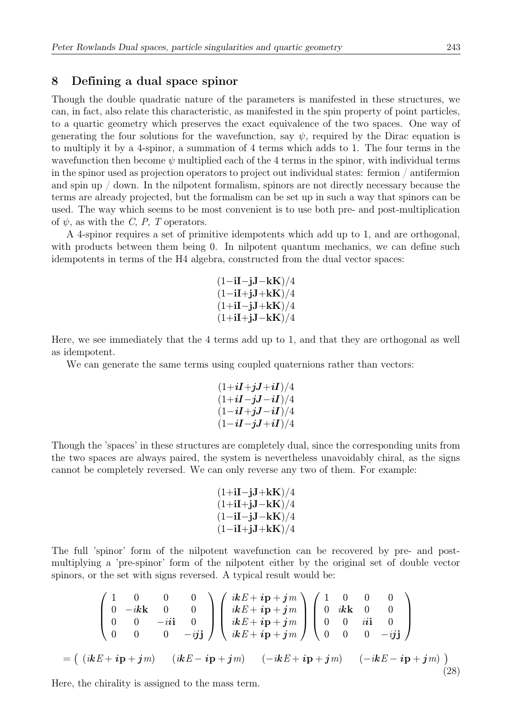## 8 Defining a dual space spinor

Though the double quadratic nature of the parameters is manifested in these structures, we can, in fact, also relate this characteristic, as manifested in the spin property of point particles, to a quartic geometry which preserves the exact equivalence of the two spaces. One way of generating the four solutions for the wavefunction, say  $\psi$ , required by the Dirac equation is to multiply it by a 4-spinor, a summation of 4 terms which adds to 1. The four terms in the wavefunction then become  $\psi$  multiplied each of the 4 terms in the spinor, with individual terms in the spinor used as projection operators to project out individual states: fermion / antifermion and spin up / down. In the nilpotent formalism, spinors are not directly necessary because the terms are already projected, but the formalism can be set up in such a way that spinors can be used. The way which seems to be most convenient is to use both pre- and post-multiplication of  $\psi$ , as with the C, P, T operators.

A 4-spinor requires a set of primitive idempotents which add up to 1, and are orthogonal, with products between them being 0. In nilpotent quantum mechanics, we can define such idempotents in terms of the H4 algebra, constructed from the dual vector spaces:

$$
\begin{array}{c} (1\!-\!{\rm i}\mathrm{I}\!-\!{\rm j}\mathrm{J}\!-\!{\rm k}\mathrm{K})/4 \\ (1\!-\!{\rm i}\mathrm{I}\!+\!{\rm j}\mathrm{J}\!+\!{\rm k}\mathrm{K})/4 \\ (1\!+\!{\rm i}\mathrm{I}\!-\!{\rm j}\mathrm{J}\!+\!{\rm k}\mathrm{K})/4 \\ (1\!+\!{\rm i}\mathrm{I}\!+\!{\rm j}\mathrm{J}\!-\!{\rm k}\mathrm{K})/4 \end{array}
$$

Here, we see immediately that the 4 terms add up to 1, and that they are orthogonal as well as idempotent.

We can generate the same terms using coupled quaternions rather than vectors:

$$
\begin{array}{c} (1\!+\!iI\!+\!jJ\!+\!iI)/4 \\ (1\!+\!iI\!-\!jJ\!-\!iI)/4 \\ (1\!-\!iI\!+\!jJ\!-\!iI)/4 \\ (1\!-\!iI\!-\!jJ\!+\!iI)/4 \end{array}
$$

Though the 'spaces' in these structures are completely dual, since the corresponding units from the two spaces are always paired, the system is nevertheless unavoidably chiral, as the signs cannot be completely reversed. We can only reverse any two of them. For example:

$$
\begin{array}{c}(1+\mathbf{i}\mathbf{I}-\mathbf{j}\mathbf{J}+\mathbf{k}\mathbf{K})/4\\(1+\mathbf{i}\mathbf{I}+\mathbf{j}\mathbf{J}-\mathbf{k}\mathbf{K})/4\\(1-\mathbf{i}\mathbf{I}-\mathbf{j}\mathbf{J}-\mathbf{k}\mathbf{K})/4\\(1-\mathbf{i}\mathbf{I}+\mathbf{j}\mathbf{J}+\mathbf{k}\mathbf{K})/4\end{array}
$$

The full 'spinor' form of the nilpotent wavefunction can be recovered by pre- and postmultiplying a 'pre-spinor' form of the nilpotent either by the original set of double vector spinors, or the set with signs reversed. A typical result would be:

$$
\begin{pmatrix}\n1 & 0 & 0 & 0 \\
0 & -ikk & 0 & 0 \\
0 & 0 & -ii & 0 \\
0 & 0 & 0 & -ijj\n\end{pmatrix}\n\begin{pmatrix}\nikE + i\mathbf{p} + jm \\
ikE + i\mathbf{p} + jm \\
ikE + i\mathbf{p} + jm\n\end{pmatrix}\n\begin{pmatrix}\n1 & 0 & 0 & 0 \\
0 & ikk & 0 & 0 \\
0 & 0 & i\mathbf{i} & 0 \\
0 & 0 & 0 & -ijj\n\end{pmatrix}
$$
\n
$$
= \left( (ikE + i\mathbf{p} + jm) \quad (ikE - i\mathbf{p} + jm) \quad (-ikE + i\mathbf{p} + jm) \quad (-ikE - i\mathbf{p} + jm) \right)
$$
\n(28)

Here, the chirality is assigned to the mass term.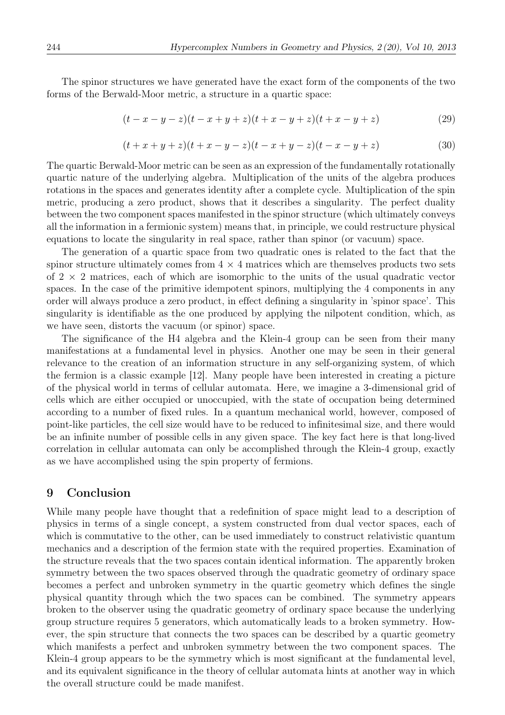The spinor structures we have generated have the exact form of the components of the two forms of the Berwald-Moor metric, a structure in a quartic space:

$$
(t-x-y-z)(t-x+y+z)(t+x-y+z)(t+x-y+z)
$$
\n(29)

$$
(t+x+y+z)(t+x-y-z)(t-x+y-z)(t-x-y+z)
$$
\n(30)

The quartic Berwald-Moor metric can be seen as an expression of the fundamentally rotationally quartic nature of the underlying algebra. Multiplication of the units of the algebra produces rotations in the spaces and generates identity after a complete cycle. Multiplication of the spin metric, producing a zero product, shows that it describes a singularity. The perfect duality between the two component spaces manifested in the spinor structure (which ultimately conveys all the information in a fermionic system) means that, in principle, we could restructure physical equations to locate the singularity in real space, rather than spinor (or vacuum) space.

The generation of a quartic space from two quadratic ones is related to the fact that the spinor structure ultimately comes from  $4 \times 4$  matrices which are themselves products two sets of  $2 \times 2$  matrices, each of which are isomorphic to the units of the usual quadratic vector spaces. In the case of the primitive idempotent spinors, multiplying the 4 components in any order will always produce a zero product, in effect defining a singularity in 'spinor space'. This singularity is identifiable as the one produced by applying the nilpotent condition, which, as we have seen, distorts the vacuum (or spinor) space.

The significance of the H4 algebra and the Klein-4 group can be seen from their many manifestations at a fundamental level in physics. Another one may be seen in their general relevance to the creation of an information structure in any self-organizing system, of which the fermion is a classic example [12]. Many people have been interested in creating a picture of the physical world in terms of cellular automata. Here, we imagine a 3-dimensional grid of cells which are either occupied or unoccupied, with the state of occupation being determined according to a number of fixed rules. In a quantum mechanical world, however, composed of point-like particles, the cell size would have to be reduced to infinitesimal size, and there would be an infinite number of possible cells in any given space. The key fact here is that long-lived correlation in cellular automata can only be accomplished through the Klein-4 group, exactly as we have accomplished using the spin property of fermions.

## 9 Conclusion

While many people have thought that a redefinition of space might lead to a description of physics in terms of a single concept, a system constructed from dual vector spaces, each of which is commutative to the other, can be used immediately to construct relativistic quantum mechanics and a description of the fermion state with the required properties. Examination of the structure reveals that the two spaces contain identical information. The apparently broken symmetry between the two spaces observed through the quadratic geometry of ordinary space becomes a perfect and unbroken symmetry in the quartic geometry which defines the single physical quantity through which the two spaces can be combined. The symmetry appears broken to the observer using the quadratic geometry of ordinary space because the underlying group structure requires 5 generators, which automatically leads to a broken symmetry. However, the spin structure that connects the two spaces can be described by a quartic geometry which manifests a perfect and unbroken symmetry between the two component spaces. The Klein-4 group appears to be the symmetry which is most significant at the fundamental level, and its equivalent significance in the theory of cellular automata hints at another way in which the overall structure could be made manifest.